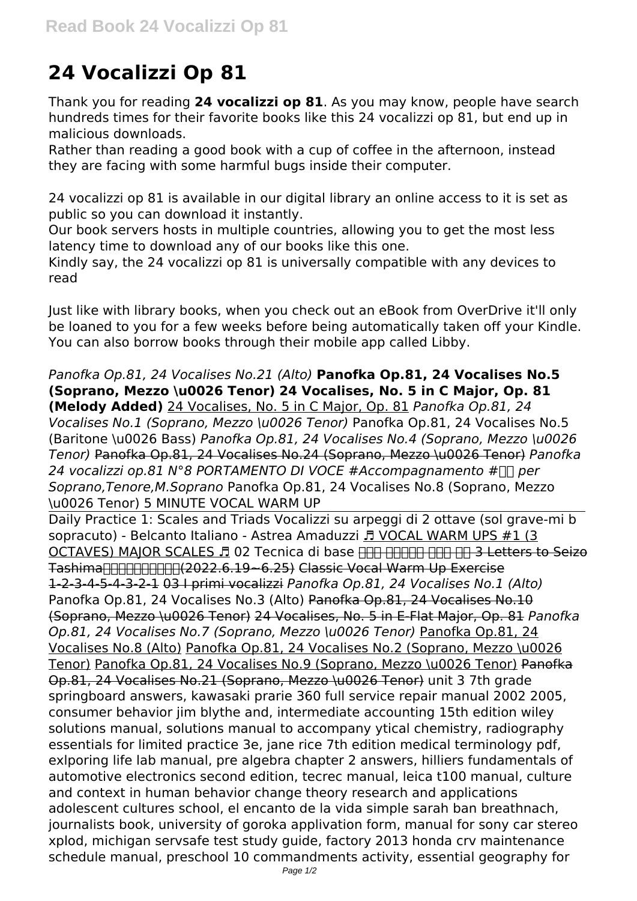## **24 Vocalizzi Op 81**

Thank you for reading **24 vocalizzi op 81**. As you may know, people have search hundreds times for their favorite books like this 24 vocalizzi op 81, but end up in malicious downloads.

Rather than reading a good book with a cup of coffee in the afternoon, instead they are facing with some harmful bugs inside their computer.

24 vocalizzi op 81 is available in our digital library an online access to it is set as public so you can download it instantly.

Our book servers hosts in multiple countries, allowing you to get the most less latency time to download any of our books like this one.

Kindly say, the 24 vocalizzi op 81 is universally compatible with any devices to read

Just like with library books, when you check out an eBook from OverDrive it'll only be loaned to you for a few weeks before being automatically taken off your Kindle. You can also borrow books through their mobile app called Libby.

*Panofka Op.81, 24 Vocalises No.21 (Alto)* **Panofka Op.81, 24 Vocalises No.5 (Soprano, Mezzo \u0026 Tenor) 24 Vocalises, No. 5 in C Major, Op. 81 (Melody Added)** 24 Vocalises, No. 5 in C Major, Op. 81 *Panofka Op.81, 24 Vocalises No.1 (Soprano, Mezzo \u0026 Tenor)* Panofka Op.81, 24 Vocalises No.5 (Baritone \u0026 Bass) *Panofka Op.81, 24 Vocalises No.4 (Soprano, Mezzo \u0026 Tenor)* Panofka Op.81, 24 Vocalises No.24 (Soprano, Mezzo \u0026 Tenor) *Panofka* 24 vocalizzi op.81 N°8 PORTAMENTO DI VOCE #Accompagnamento #∏∏ per *Soprano,Tenore,M.Soprano* Panofka Op.81, 24 Vocalises No.8 (Soprano, Mezzo

\u0026 Tenor) 5 MINUTE VOCAL WARM UP Daily Practice 1: Scales and Triads Vocalizzi su arpeggi di 2 ottave (sol grave-mi b sopracuto) - Belcanto Italiano - Astrea Amaduzzi *E* VOCAL WARM UPS #1 (3 OCTAVES) MAJOR SCALES J 02 Tecnica di base HHH HHHHHHHH 3 Letters to Seizo TashimaHHHHHHHH(2022.6.19~6.25) Classic Vocal Warm Up Exercise 1-2-3-4-5-4-3-2-1 03 I primi vocalizzi *Panofka Op.81, 24 Vocalises No.1 (Alto)* Panofka Op.81, 24 Vocalises No.3 (Alto) Panofka Op.81, 24 Vocalises No.10 (Soprano, Mezzo \u0026 Tenor) 24 Vocalises, No. 5 in E-Flat Major, Op. 81 *Panofka Op.81, 24 Vocalises No.7 (Soprano, Mezzo \u0026 Tenor)* Panofka Op.81, 24 Vocalises No.8 (Alto) Panofka Op.81, 24 Vocalises No.2 (Soprano, Mezzo \u0026 Tenor) Panofka Op.81, 24 Vocalises No.9 (Soprano, Mezzo \u0026 Tenor) Panofka Op.81, 24 Vocalises No.21 (Soprano, Mezzo \u0026 Tenor) unit 3 7th grade springboard answers, kawasaki prarie 360 full service repair manual 2002 2005, consumer behavior jim blythe and, intermediate accounting 15th edition wiley solutions manual, solutions manual to accompany ytical chemistry, radiography essentials for limited practice 3e, jane rice 7th edition medical terminology pdf, exlporing life lab manual, pre algebra chapter 2 answers, hilliers fundamentals of automotive electronics second edition, tecrec manual, leica t100 manual, culture and context in human behavior change theory research and applications adolescent cultures school, el encanto de la vida simple sarah ban breathnach, journalists book, university of goroka applivation form, manual for sony car stereo xplod, michigan servsafe test study guide, factory 2013 honda crv maintenance schedule manual, preschool 10 commandments activity, essential geography for